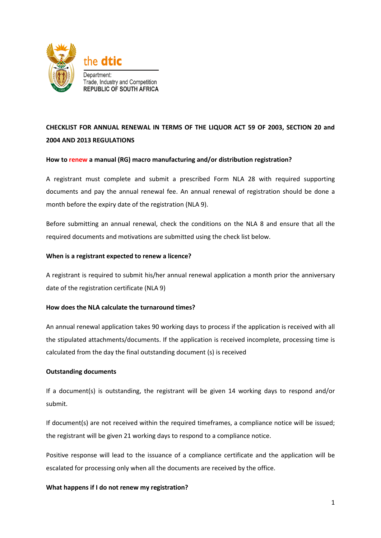

# **CHECKLIST FOR ANNUAL RENEWAL IN TERMS OF THE LIQUOR ACT 59 OF 2003, SECTION 20 and 2004 AND 2013 REGULATIONS**

#### **How to renew a manual (RG) macro manufacturing and/or distribution registration?**

A registrant must complete and submit a prescribed Form NLA 28 with required supporting documents and pay the annual renewal fee. An annual renewal of registration should be done a month before the expiry date of the registration (NLA 9).

Before submitting an annual renewal, check the conditions on the NLA 8 and ensure that all the required documents and motivations are submitted using the check list below.

#### **When is a registrant expected to renew a licence?**

A registrant is required to submit his/her annual renewal application a month prior the anniversary date of the registration certificate (NLA 9)

#### **How does the NLA calculate the turnaround times?**

An annual renewal application takes 90 working days to process if the application is received with all the stipulated attachments/documents. If the application is received incomplete, processing time is calculated from the day the final outstanding document (s) is received

#### **Outstanding documents**

If a document(s) is outstanding, the registrant will be given 14 working days to respond and/or submit.

If document(s) are not received within the required timeframes, a compliance notice will be issued; the registrant will be given 21 working days to respond to a compliance notice.

Positive response will lead to the issuance of a compliance certificate and the application will be escalated for processing only when all the documents are received by the office.

#### **What happens if I do not renew my registration?**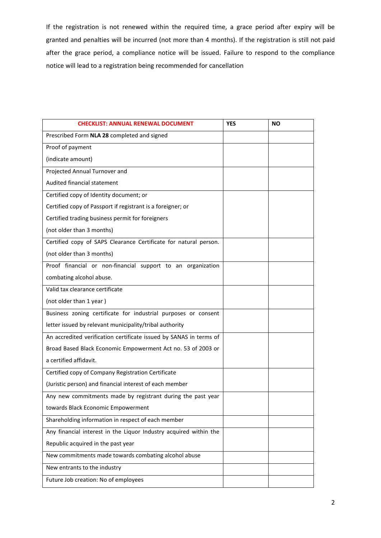If the registration is not renewed within the required time, a grace period after expiry will be granted and penalties will be incurred (not more than 4 months). If the registration is still not paid after the grace period, a compliance notice will be issued. Failure to respond to the compliance notice will lead to a registration being recommended for cancellation

| <b>CHECKLIST: ANNUAL RENEWAL DOCUMENT</b>                          | <b>YES</b> | <b>NO</b> |
|--------------------------------------------------------------------|------------|-----------|
| Prescribed Form NLA 28 completed and signed                        |            |           |
| Proof of payment                                                   |            |           |
| (indicate amount)                                                  |            |           |
| Projected Annual Turnover and                                      |            |           |
| Audited financial statement                                        |            |           |
| Certified copy of Identity document; or                            |            |           |
| Certified copy of Passport if registrant is a foreigner; or        |            |           |
| Certified trading business permit for foreigners                   |            |           |
| (not older than 3 months)                                          |            |           |
| Certified copy of SAPS Clearance Certificate for natural person.   |            |           |
| (not older than 3 months)                                          |            |           |
| Proof financial or non-financial support to an organization        |            |           |
| combating alcohol abuse.                                           |            |           |
| Valid tax clearance certificate                                    |            |           |
| (not older than 1 year)                                            |            |           |
| Business zoning certificate for industrial purposes or consent     |            |           |
| letter issued by relevant municipality/tribal authority            |            |           |
| An accredited verification certificate issued by SANAS in terms of |            |           |
| Broad Based Black Economic Empowerment Act no. 53 of 2003 or       |            |           |
| a certified affidavit.                                             |            |           |
| Certified copy of Company Registration Certificate                 |            |           |
| (Juristic person) and financial interest of each member            |            |           |
| Any new commitments made by registrant during the past year        |            |           |
| towards Black Economic Empowerment                                 |            |           |
| Shareholding information in respect of each member                 |            |           |
| Any financial interest in the Liquor Industry acquired within the  |            |           |
| Republic acquired in the past year                                 |            |           |
| New commitments made towards combating alcohol abuse               |            |           |
| New entrants to the industry                                       |            |           |
| Future Job creation: No of employees                               |            |           |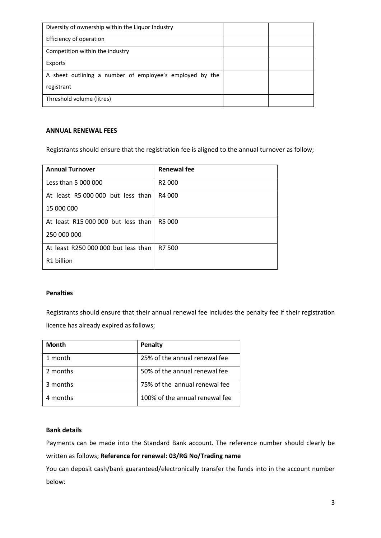| Diversity of ownership within the Liquor Industry        |  |
|----------------------------------------------------------|--|
| Efficiency of operation                                  |  |
| Competition within the industry                          |  |
| Exports                                                  |  |
| A sheet outlining a number of employee's employed by the |  |
| registrant                                               |  |
| Threshold volume (litres)                                |  |

## **ANNUAL RENEWAL FEES**

Registrants should ensure that the registration fee is aligned to the annual turnover as follow;

| <b>Annual Turnover</b>              | <b>Renewal fee</b> |
|-------------------------------------|--------------------|
| Less than 5 000 000                 | R <sub>2</sub> 000 |
| At least R5 000 000 but less than   | R4 000             |
| 15 000 000                          |                    |
| At least R15 000 000 but less than  | R5 000             |
| 250 000 000                         |                    |
| At least R250 000 000 but less than | R7 500             |
| R1 billion                          |                    |

#### **Penalties**

Registrants should ensure that their annual renewal fee includes the penalty fee if their registration licence has already expired as follows;

| <b>Month</b> | <b>Penalty</b>                 |
|--------------|--------------------------------|
| 1 month      | 25% of the annual renewal fee  |
| 2 months     | 50% of the annual renewal fee  |
| 3 months     | 75% of the annual renewal fee  |
| 4 months     | 100% of the annual renewal fee |

#### **Bank details**

Payments can be made into the Standard Bank account. The reference number should clearly be written as follows; **Reference for renewal: 03/RG No/Trading name**

You can deposit cash/bank guaranteed/electronically transfer the funds into in the account number below: